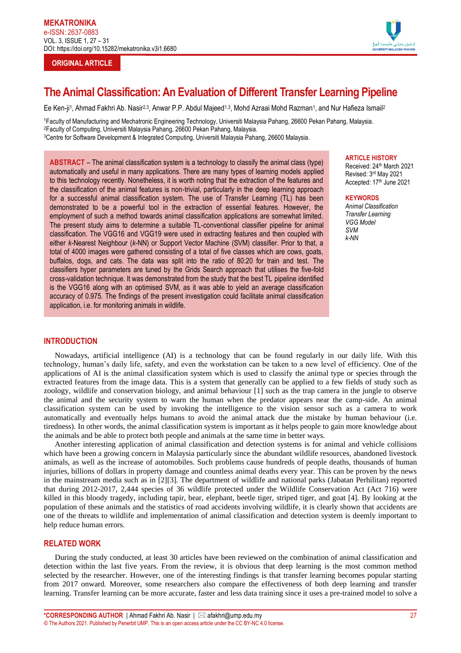## **ORIGINAL ARTICLE**



# **The Animal Classification: An Evaluation of Different Transfer Learning Pipeline**

Ee Ken-ji<sup>1</sup>, Ahmad Fakhri Ab. Nasir<sup>2,3</sup>, Anwar P.P. Abdul Majeed<sup>1,3</sup>, Mohd Azraai Mohd Razman<sup>1</sup>, and Nur Hafieza Ismail<sup>2</sup>

<sup>1</sup>Faculty of Manufacturing and Mechatronic Engineering Technology, Universiti Malaysia Pahang, 26600 Pekan Pahang, Malaysia. <sup>2</sup>Faculty of Computing, Universiti Malaysia Pahang, 26600 Pekan Pahang, Malaysia. <sup>3</sup>Centre for Software Development & Integrated Computing, Universiti Malaysia Pahang, 26600 Malaysia.

**ABSTRACT** – The animal classification system is a technology to classify the animal class (type) automatically and useful in many applications. There are many types of learning models applied to this technology recently. Nonetheless, it is worth noting that the extraction of the features and the classification of the animal features is non-trivial, particularly in the deep learning approach for a successful animal classification system. The use of Transfer Learning (TL) has been demonstrated to be a powerful tool in the extraction of essential features. However, the employment of such a method towards animal classification applications are somewhat limited. The present study aims to determine a suitable TL-conventional classifier pipeline for animal classification. The VGG16 and VGG19 were used in extracting features and then coupled with either *k*-Nearest Neighbour (*k*-NN) or Support Vector Machine (SVM) classifier. Prior to that, a total of 4000 images were gathered consisting of a total of five classes which are cows, goats, buffalos, dogs, and cats. The data was split into the ratio of 80:20 for train and test. The classifiers hyper parameters are tuned by the Grids Search approach that utilises the five-fold cross-validation technique. It was demonstrated from the study that the best TL pipeline identified is the VGG16 along with an optimised SVM, as it was able to yield an average classification accuracy of 0.975. The findings of the present investigation could facilitate animal classification application, i.e. for monitoring animals in wildlife.

## **ARTICLE HISTORY**

Received: 24<sup>th</sup> March 2021 Revised: 3 rd May 2021 Accepted: 17<sup>th</sup> June 2021

#### **KEYWORDS**

*Animal Classification Transfer Learning VGG Model SVM k-NN*

## **INTRODUCTION**

Nowadays, artificial intelligence (AI) is a technology that can be found regularly in our daily life. With this technology, human's daily life, safety, and even the workstation can be taken to a new level of efficiency. One of the applications of AI is the animal classification system which is used to classify the animal type or species through the extracted features from the image data. This is a system that generally can be applied to a few fields of study such as zoology, wildlife and conservation biology, and animal behaviour [1] such as the trap camera in the jungle to observe the animal and the security system to warn the human when the predator appears near the camp-side. An animal classification system can be used by invoking the intelligence to the vision sensor such as a camera to work automatically and eventually helps humans to avoid the animal attack due the mistake by human behaviour (i.e. tiredness). In other words, the animal classification system is important as it helps people to gain more knowledge about the animals and be able to protect both people and animals at the same time in better ways.

Another interesting application of animal classification and detection systems is for animal and vehicle collisions which have been a growing concern in Malaysia particularly since the abundant wildlife resources, abandoned livestock animals, as well as the increase of automobiles. Such problems cause hundreds of people deaths, thousands of human injuries, billions of dollars in property damage and countless animal deaths every year. This can be proven by the news in the mainstream media such as in [2][3]. The department of wildlife and national parks (Jabatan Perhilitan) reported that during 2012-2017, 2,444 species of 36 wildlife protected under the Wildlife Conservation Act (Act 716) were killed in this bloody tragedy, including tapir, bear, elephant, beetle tiger, striped tiger, and goat [4]. By looking at the population of these animals and the statistics of road accidents involving wildlife, it is clearly shown that accidents are one of the threats to wildlife and implementation of animal classification and detection system is deemly important to help reduce human errors.

## **RELATED WORK**

During the study conducted, at least 30 articles have been reviewed on the combination of animal classification and detection within the last five years. From the review, it is obvious that deep learning is the most common method selected by the researcher. However, one of the interesting findings is that transfer learning becomes popular starting from 2017 onward. Moreover, some researchers also compare the effectiveness of both deep learning and transfer learning. Transfer learning can be more accurate, faster and less data training since it uses a pre-trained model to solve a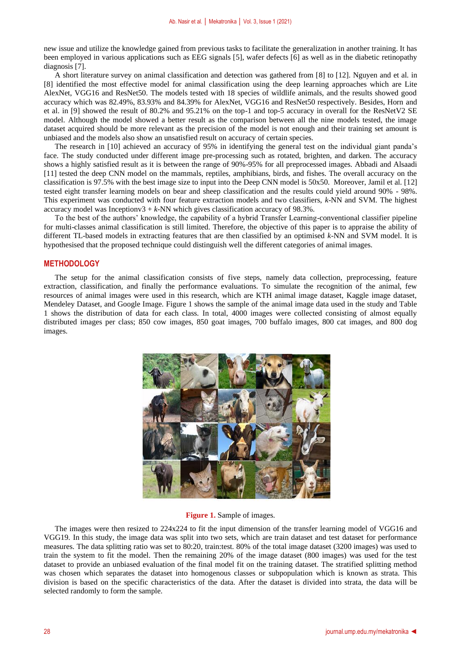new issue and utilize the knowledge gained from previous tasks to facilitate the generalization in another training. It has been employed in various applications such as EEG signals [5], wafer defects [6] as well as in the diabetic retinopathy diagnosis [7].

A short literature survey on animal classification and detection was gathered from [8] to [12]. Nguyen and et al. in [8] identified the most effective model for animal classification using the deep learning approaches which are Lite AlexNet, VGG16 and ResNet50. The models tested with 18 species of wildlife animals, and the results showed good accuracy which was 82.49%, 83.93% and 84.39% for AlexNet, VGG16 and ResNet50 respectively. Besides, Horn and et al. in [9] showed the result of 80.2% and 95.21% on the top-1 and top-5 accuracy in overall for the ResNetV2 SE model. Although the model showed a better result as the comparison between all the nine models tested, the image dataset acquired should be more relevant as the precision of the model is not enough and their training set amount is unbiased and the models also show an unsatisfied result on accuracy of certain species.

The research in [10] achieved an accuracy of 95% in identifying the general test on the individual giant panda's face. The study conducted under different image pre-processing such as rotated, brighten, and darken. The accuracy shows a highly satisfied result as it is between the range of 90%-95% for all preprocessed images. Abbadi and Alsaadi [11] tested the deep CNN model on the mammals, reptiles, amphibians, birds, and fishes. The overall accuracy on the classification is 97.5% with the best image size to input into the Deep CNN model is 50x50. Moreover, Jamil et al. [12] tested eight transfer learning models on bear and sheep classification and the results could yield around 90% - 98%. This experiment was conducted with four feature extraction models and two classifiers, *k*-NN and SVM. The highest accuracy model was Inceptionv $3 + k$ -NN which gives classification accuracy of 98.3%.

To the best of the authors' knowledge, the capability of a hybrid Transfer Learning-conventional classifier pipeline for multi-classes animal classification is still limited. Therefore, the objective of this paper is to appraise the ability of different TL-based models in extracting features that are then classified by an optimised *k*-NN and SVM model. It is hypothesised that the proposed technique could distinguish well the different categories of animal images.

## **METHODOLOGY**

The setup for the animal classification consists of five steps, namely data collection, preprocessing, feature extraction, classification, and finally the performance evaluations. To simulate the recognition of the animal, few resources of animal images were used in this research, which are KTH animal image dataset, Kaggle image dataset, Mendeley Dataset, and Google Image. Figure 1 shows the sample of the animal image data used in the study and Table 1 shows the distribution of data for each class. In total, 4000 images were collected consisting of almost equally distributed images per class; 850 cow images, 850 goat images, 700 buffalo images, 800 cat images, and 800 dog images.



**Figure 1.** Sample of images.

The images were then resized to 224x224 to fit the input dimension of the transfer learning model of VGG16 and VGG19. In this study, the image data was split into two sets, which are train dataset and test dataset for performance measures. The data splitting ratio was set to 80:20, train:test. 80% of the total image dataset (3200 images) was used to train the system to fit the model. Then the remaining 20% of the image dataset (800 images) was used for the test dataset to provide an unbiased evaluation of the final model fit on the training dataset. The stratified splitting method was chosen which separates the dataset into homogenous classes or subpopulation which is known as strata. This division is based on the specific characteristics of the data. After the dataset is divided into strata, the data will be selected randomly to form the sample.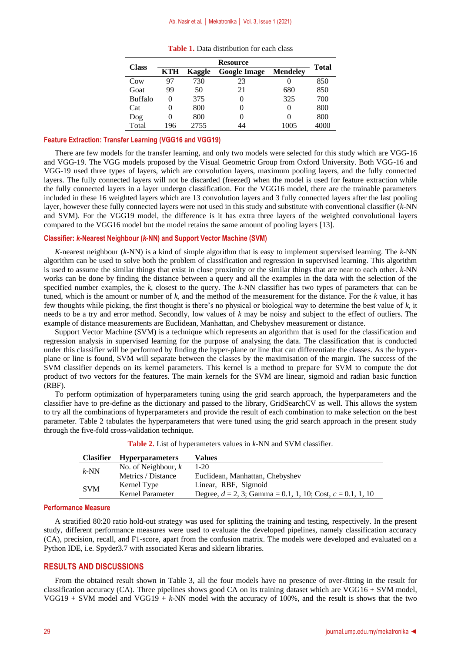#### Ab. Nasir et al. │ Mekatronika │ Vol. 3, Issue 1 (2021)

| <b>Table 1.</b> Data distribution for each class |  |
|--------------------------------------------------|--|
|--------------------------------------------------|--|

| <b>Class</b>   | <b>Resource</b> |        |                     |                 | <b>Total</b> |  |
|----------------|-----------------|--------|---------------------|-----------------|--------------|--|
|                | KTH             | Kaggle | <b>Google Image</b> | <b>Mendeley</b> |              |  |
| Cow            | 97              | 730    | 23                  | O               | 850          |  |
| Goat           | 99              | 50     | 21                  | 680             | 850          |  |
| <b>Buffalo</b> | 0               | 375    |                     | 325             | 700          |  |
| Cat            | 0               | 800    |                     | $\mathbf{0}$    | 800          |  |
| Dog            | 0               | 800    |                     | $\mathbf{0}$    | 800          |  |
| Total          | 196             | 2755   | 14                  | 1005            | 4000         |  |

## **Feature Extraction: Transfer Learning (VGG16 and VGG19)**

There are few models for the transfer learning, and only two models were selected for this study which are VGG-16 and VGG-19. The VGG models proposed by the Visual Geometric Group from Oxford University. Both VGG-16 and VGG-19 used three types of layers, which are convolution layers, maximum pooling layers, and the fully connected layers. The fully connected layers will not be discarded (freezed) when the model is used for feature extraction while the fully connected layers in a layer undergo classification. For the VGG16 model, there are the trainable parameters included in these 16 weighted layers which are 13 convolution layers and 3 fully connected layers after the last pooling layer, however these fully connected layers were not used in this study and substitute with conventional classifier (*k*-NN and SVM). For the VGG19 model, the difference is it has extra three layers of the weighted convolutional layers compared to the VGG16 model but the model retains the same amount of pooling layers [13].

#### **Classifier:** *k***-Nearest Neighbour (***k***-NN) and Support Vector Machine (SVM)**

*K*-nearest neighbour (*k*-NN) is a kind of simple algorithm that is easy to implement supervised learning. The *k*-NN algorithm can be used to solve both the problem of classification and regression in supervised learning. This algorithm is used to assume the similar things that exist in close proximity or the similar things that are near to each other. *k*-NN works can be done by finding the distance between a query and all the examples in the data with the selection of the specified number examples, the *k*, closest to the query. The *k*-NN classifier has two types of parameters that can be tuned, which is the amount or number of *k*, and the method of the measurement for the distance. For the *k* value, it has few thoughts while picking, the first thought is there's no physical or biological way to determine the best value of *k*, it needs to be a try and error method. Secondly, low values of *k* may be noisy and subject to the effect of outliers. The example of distance measurements are Euclidean, Manhattan, and Chebyshev measurement or distance.

Support Vector Machine (SVM) is a technique which represents an algorithm that is used for the classification and regression analysis in supervised learning for the purpose of analysing the data. The classification that is conducted under this classifier will be performed by finding the hyper-plane or line that can differentiate the classes. As the hyperplane or line is found, SVM will separate between the classes by the maximisation of the margin. The success of the SVM classifier depends on its kernel parameters. This kernel is a method to prepare for SVM to compute the dot product of two vectors for the features. The main kernels for the SVM are linear, sigmoid and radian basic function (RBF).

To perform optimization of hyperparameters tuning using the grid search approach, the hyperparameters and the classifier have to pre-define as the dictionary and passed to the library, GridSearchCV as well. This allows the system to try all the combinations of hyperparameters and provide the result of each combination to make selection on the best parameter. Table 2 tabulates the hyperparameters that were tuned using the grid search approach in the present study through the five-fold cross-validation technique.

| <b>Clasifier</b> | <b>Hyperparameters</b> | <b>Values</b>                                                    |
|------------------|------------------------|------------------------------------------------------------------|
| $k$ -NN          | No. of Neighbour, $k$  | $1 - 20$                                                         |
|                  | Metrics / Distance     | Euclidean, Manhattan, Chebyshev                                  |
| <b>SVM</b>       | Kernel Type            | Linear, RBF, Sigmoid                                             |
|                  | Kernel Parameter       | Degree, $d = 2$ , 3; Gamma = 0.1, 1, 10; Cost, $c = 0.1$ , 1, 10 |

**Table 2.** List of hyperameters values in *k*-NN and SVM classifier.

### **Performance Measure**

A stratified 80:20 ratio hold-out strategy was used for splitting the training and testing, respectively. In the present study, different performance measures were used to evaluate the developed pipelines, namely classification accuracy (CA), precision, recall, and F1-score, apart from the confusion matrix. The models were developed and evaluated on a Python IDE, i.e. Spyder3.7 with associated Keras and sklearn libraries.

## **RESULTS AND DISCUSSIONS**

From the obtained result shown in Table 3, all the four models have no presence of over-fitting in the result for classification accuracy (CA). Three pipelines shows good CA on its training dataset which are VGG16 + SVM model, VGG19 + SVM model and VGG19 + *k*-NN model with the accuracy of 100%, and the result is shows that the two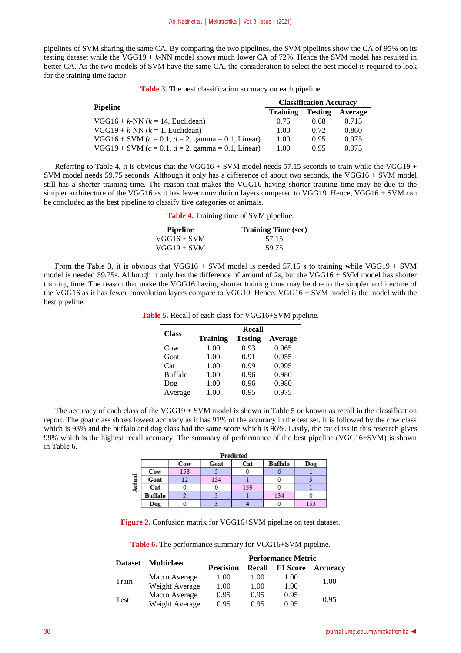pipelines of SVM sharing the same CA. By comparing the two pipelines, the SVM pipelines show the CA of 95% on its testing dataset while the VGG19 + *k*-NN model shows much lower CA of 72%. Hence the SVM model has resulted in better CA. As the two models of SVM have the same CA, the consideration to select the best model is required to look for the training time factor.

|                                                     | <b>Classification Accuracy</b> |                |         |  |
|-----------------------------------------------------|--------------------------------|----------------|---------|--|
| <b>Pipeline</b>                                     | <b>Training</b>                | <b>Testing</b> | Average |  |
| $VGG16 + k\text{-NN}$ ( $k = 14$ , Euclidean)       | 0.75                           | 0.68           | 0.715   |  |
| $VGG19 + k\text{-NN}$ ( $k = 1$ , Euclidean)        | 1.00                           | 0.72           | 0.860   |  |
| $VGG16 + SVM (c = 0.1, d = 2, gamma = 0.1, Linear)$ | 1.00                           | 0.95           | 0.975   |  |
| $VGG19 + SVM (c = 0.1, d = 2, gamma = 0.1, Linear)$ | 1.00                           | 0.95           | 0.975   |  |

**Table 3.** The best classification accuracy on each pipeline

Referring to Table 4, it is obvious that the VGG16 + SVM model needs 57.15 seconds to train while the VGG19 + SVM model needs 59.75 seconds. Although it only has a difference of about two seconds, the VGG16 + SVM model still has a shorter training time. The reason that makes the VGG16 having shorter training time may be due to the simpler architecture of the VGG16 as it has fewer convolution layers compared to VGG19 Hence, VGG16 + SVM can be concluded as the best pipeline to classify five categories of animals.

**Table 4.** Training time of SVM pipeline.

| <b>Pipeline</b> | <b>Training Time (sec)</b> |
|-----------------|----------------------------|
| $VGG16 + SVM$   | 57.15                      |
| $VGG19 + SVM$   | 59.75                      |

From the Table 3, it is obvious that VGG16 + SVM model is needed 57.15 s to training while VGG19 + SVM model is needed 59.75s. Although it only has the difference of around of 2s, but the VGG16 + SVM model has shorter training time. The reason that make the VGG16 having shorter training time may be due to the simpler architecture of the VGG16 as it has fewer convolution layers compare to VGG19 Hence, VGG16 + SVM model is the model with the best pipeline.

**Table 5.** Recall of each class for VGG16+SVM pipeline.

| <b>Class</b>    | <b>Recall</b>   |                |         |  |
|-----------------|-----------------|----------------|---------|--|
|                 | <b>Training</b> | <b>Testing</b> | Average |  |
| C <sub>ow</sub> | 1.00            | 0.93           | 0.965   |  |
| Goat            | 1.00            | 0.91           | 0.955   |  |
| Cat             | 1.00            | 0.99           | 0.995   |  |
| <b>Buffalo</b>  | 1.00            | 0.96           | 0.980   |  |
| Dog             | 1.00            | 0.96           | 0.980   |  |
| Average         | 1.00            | 0.95           | 0.975   |  |

The accuracy of each class of the VGG19 + SVM model is shown in Table 5 or known as recall in the classification report. The goat class shows lowest accuracy as it has 91% of the accuracy in the test set. It is followed by the cow class which is 93% and the buffalo and dog class had the same score which is 96%. Lastly, the cat class in this research gives 99% which is the highest recall accuracy. The summary of performance of the best pipeline (VGG16+SVM) is shown in Table 6.

|                     | Predicted      |     |      |     |         |     |  |  |
|---------------------|----------------|-----|------|-----|---------|-----|--|--|
|                     |                | Cow | Goat | Cat | Buffalo | Dog |  |  |
| $\overline{a}$<br>€ | Cow            | 158 |      |     |         |     |  |  |
|                     | Goat           | 12  | 154  |     |         |     |  |  |
|                     | Cat            |     |      | 159 |         |     |  |  |
|                     | <b>Buffalo</b> |     |      |     | 134     |     |  |  |
|                     | Dog            |     |      |     |         |     |  |  |

**Figure 2.** Confusion matrix for VGG16+SVM pipeline on test dataset.

**Table 6.** The performance summary for VGG16+SVM pipeline.

|                |                   | <b>Performance Metric</b> |        |                 |          |  |
|----------------|-------------------|---------------------------|--------|-----------------|----------|--|
| <b>Dataset</b> | <b>Multiclass</b> | <b>Precision</b>          | Recall | <b>F1 Score</b> | Accuracy |  |
| Train          | Macro Average     | 1.00                      | 1.00   | 1.00            | 1.00     |  |
|                | Weight Average    | 1.00                      | 1.00   | 1.00            |          |  |
| Test           | Macro Average     | 0.95                      | 0.95   | 0.95            | 0.95     |  |
|                | Weight Average    | 0.95                      | 0.95   | 0.95            |          |  |